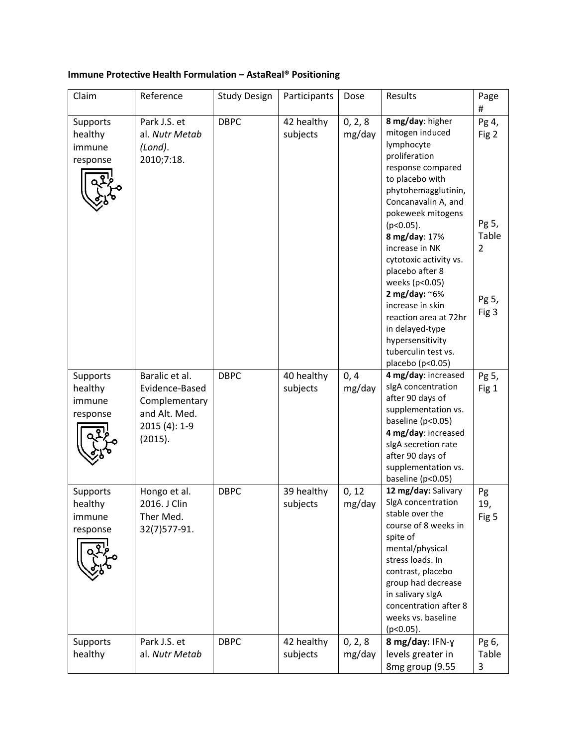## **Immune Protective Health Formulation – AstaReal® Positioning**

| Claim                                     | Reference                                                                                      | <b>Study Design</b> | Participants           | Dose              | Results                                                                                                                                                                                                                                                                                                                                                                                                                                            | Page<br>#                                                            |
|-------------------------------------------|------------------------------------------------------------------------------------------------|---------------------|------------------------|-------------------|----------------------------------------------------------------------------------------------------------------------------------------------------------------------------------------------------------------------------------------------------------------------------------------------------------------------------------------------------------------------------------------------------------------------------------------------------|----------------------------------------------------------------------|
| Supports<br>healthy<br>immune<br>response | Park J.S. et<br>al. Nutr Metab<br>(Lond).<br>2010;7:18.                                        | <b>DBPC</b>         | 42 healthy<br>subjects | 0, 2, 8<br>mg/day | 8 mg/day: higher<br>mitogen induced<br>lymphocyte<br>proliferation<br>response compared<br>to placebo with<br>phytohemagglutinin,<br>Concanavalin A, and<br>pokeweek mitogens<br>$(p<0.05)$ .<br>8 mg/day: 17%<br>increase in NK<br>cytotoxic activity vs.<br>placebo after 8<br>weeks (p<0.05)<br>2 mg/day: $~6\%$<br>increase in skin<br>reaction area at 72hr<br>in delayed-type<br>hypersensitivity<br>tuberculin test vs.<br>placebo (p<0.05) | Pg 4,<br>Fig 2<br>Pg 5,<br>Table<br>$\overline{2}$<br>Pg 5,<br>Fig 3 |
| Supports<br>healthy<br>immune<br>response | Baralic et al.<br>Evidence-Based<br>Complementary<br>and Alt. Med.<br>2015 (4): 1-9<br>(2015). | <b>DBPC</b>         | 40 healthy<br>subjects | 0, 4<br>mg/day    | 4 mg/day: increased<br>sigA concentration<br>after 90 days of<br>supplementation vs.<br>baseline (p<0.05)<br>4 mg/day: increased<br>sigA secretion rate<br>after 90 days of<br>supplementation vs.<br>baseline (p<0.05)                                                                                                                                                                                                                            | Pg 5,<br>Fig 1                                                       |
| Supports<br>healthy<br>immune<br>response | Hongo et al.<br>2016. J Clin<br>Ther Med.<br>32(7)577-91.                                      | <b>DBPC</b>         | 39 healthy<br>subjects | 0, 12<br>mg/day   | 12 mg/day: Salivary<br>SigA concentration<br>stable over the<br>course of 8 weeks in<br>spite of<br>mental/physical<br>stress loads. In<br>contrast, placebo<br>group had decrease<br>in salivary slgA<br>concentration after 8<br>weeks vs. baseline<br>(p<0.05).                                                                                                                                                                                 | Pg<br>19,<br>Fig 5                                                   |
| Supports<br>healthy                       | Park J.S. et<br>al. Nutr Metab                                                                 | <b>DBPC</b>         | 42 healthy<br>subjects | 0, 2, 8<br>mg/day | 8 mg/day: IFN-y<br>levels greater in<br>8mg group (9.55                                                                                                                                                                                                                                                                                                                                                                                            | Pg 6,<br>Table<br>3                                                  |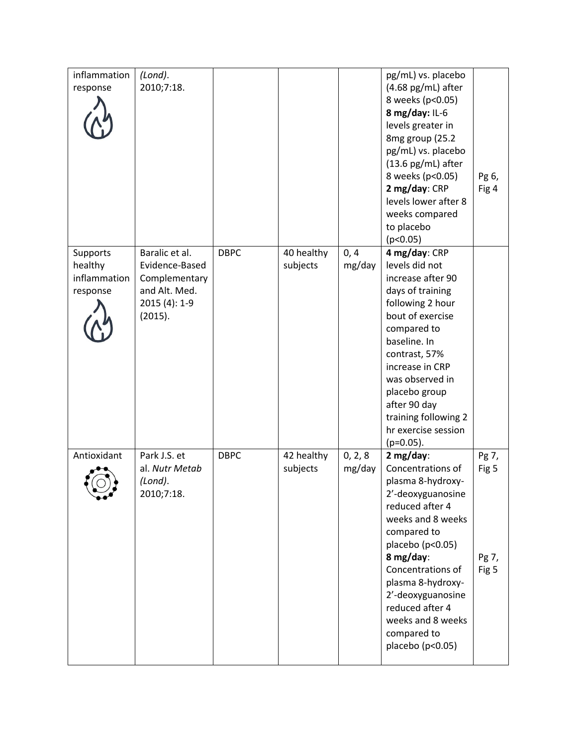| inflammation | (Lond).        |             |            |         | pg/mL) vs. placebo           |       |
|--------------|----------------|-------------|------------|---------|------------------------------|-------|
| response     | 2010;7:18.     |             |            |         | $(4.68 \text{ pg/mL})$ after |       |
|              |                |             |            |         | 8 weeks (p<0.05)             |       |
|              |                |             |            |         | 8 mg/day: $IL-6$             |       |
|              |                |             |            |         | levels greater in            |       |
|              |                |             |            |         | 8mg group (25.2              |       |
|              |                |             |            |         | pg/mL) vs. placebo           |       |
|              |                |             |            |         | $(13.6 \text{ pg/mL})$ after |       |
|              |                |             |            |         | 8 weeks (p<0.05)             | Pg 6, |
|              |                |             |            |         | 2 mg/day: CRP                | Fig 4 |
|              |                |             |            |         | levels lower after 8         |       |
|              |                |             |            |         | weeks compared               |       |
|              |                |             |            |         | to placebo                   |       |
|              |                |             |            |         | (p<0.05)                     |       |
| Supports     | Baralic et al. | <b>DBPC</b> | 40 healthy | 0, 4    | 4 mg/day: CRP                |       |
| healthy      | Evidence-Based |             | subjects   | mg/day  | levels did not               |       |
| inflammation | Complementary  |             |            |         | increase after 90            |       |
| response     | and Alt. Med.  |             |            |         | days of training             |       |
|              | 2015 (4): 1-9  |             |            |         | following 2 hour             |       |
|              | (2015).        |             |            |         | bout of exercise             |       |
|              |                |             |            |         | compared to                  |       |
|              |                |             |            |         | baseline. In                 |       |
|              |                |             |            |         | contrast, 57%                |       |
|              |                |             |            |         | increase in CRP              |       |
|              |                |             |            |         | was observed in              |       |
|              |                |             |            |         | placebo group                |       |
|              |                |             |            |         | after 90 day                 |       |
|              |                |             |            |         | training following 2         |       |
|              |                |             |            |         | hr exercise session          |       |
|              |                |             |            |         | $(p=0.05)$ .                 |       |
| Antioxidant  | Park J.S. et   | <b>DBPC</b> | 42 healthy | 0, 2, 8 | $2 mg/day$ :                 | Pg 7, |
|              | al. Nutr Metab |             | subjects   | mg/day  | Concentrations of            | Fig 5 |
|              | (Lond).        |             |            |         | plasma 8-hydroxy-            |       |
|              | 2010;7:18.     |             |            |         | 2'-deoxyguanosine            |       |
|              |                |             |            |         | reduced after 4              |       |
|              |                |             |            |         | weeks and 8 weeks            |       |
|              |                |             |            |         | compared to                  |       |
|              |                |             |            |         | placebo (p<0.05)             |       |
|              |                |             |            |         | 8 mg/day:                    | Pg 7, |
|              |                |             |            |         | Concentrations of            | Fig 5 |
|              |                |             |            |         | plasma 8-hydroxy-            |       |
|              |                |             |            |         | 2'-deoxyguanosine            |       |
|              |                |             |            |         | reduced after 4              |       |
|              |                |             |            |         | weeks and 8 weeks            |       |
|              |                |             |            |         | compared to                  |       |
|              |                |             |            |         | placebo (p<0.05)             |       |
|              |                |             |            |         |                              |       |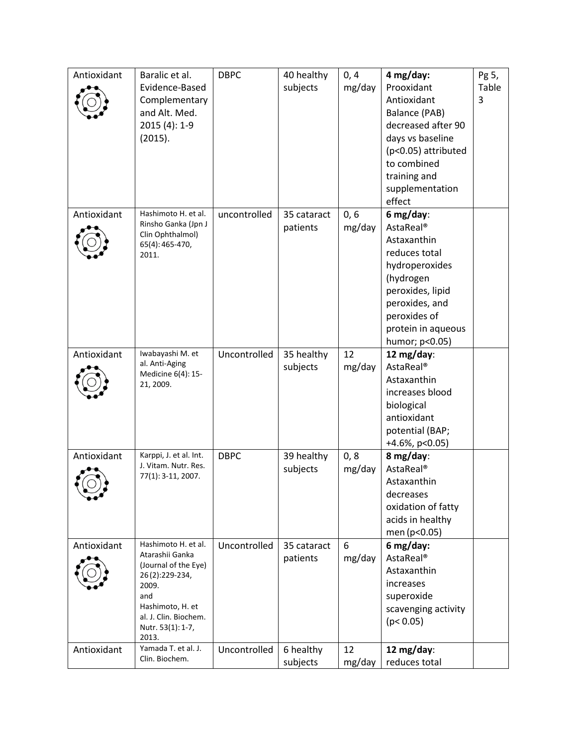| Antioxidant | Baralic et al.<br>Evidence-Based<br>Complementary<br>and Alt. Med.<br>2015 (4): 1-9<br>(2015).                                                                              | <b>DBPC</b>  | 40 healthy<br>subjects  | 0, 4<br>mg/day | 4 mg/day:<br>Prooxidant<br>Antioxidant<br>Balance (PAB)<br>decreased after 90<br>days vs baseline<br>(p<0.05) attributed<br>to combined<br>training and<br>supplementation<br>effect            | Pg 5,<br>Table<br>3 |
|-------------|-----------------------------------------------------------------------------------------------------------------------------------------------------------------------------|--------------|-------------------------|----------------|-------------------------------------------------------------------------------------------------------------------------------------------------------------------------------------------------|---------------------|
| Antioxidant | Hashimoto H. et al.<br>Rinsho Ganka (Jpn J<br>Clin Ophthalmol)<br>65(4): 465-470,<br>2011.                                                                                  | uncontrolled | 35 cataract<br>patients | 0, 6<br>mg/day | 6 mg/day:<br>AstaReal <sup>®</sup><br>Astaxanthin<br>reduces total<br>hydroperoxides<br>(hydrogen<br>peroxides, lipid<br>peroxides, and<br>peroxides of<br>protein in aqueous<br>humor; p<0.05) |                     |
| Antioxidant | Iwabayashi M. et<br>al. Anti-Aging<br>Medicine 6(4): 15-<br>21, 2009.                                                                                                       | Uncontrolled | 35 healthy<br>subjects  | 12<br>mg/day   | 12 mg/day:<br>AstaReal <sup>®</sup><br>Astaxanthin<br>increases blood<br>biological<br>antioxidant<br>potential (BAP;<br>+4.6%, p<0.05)                                                         |                     |
| Antioxidant | Karppi, J. et al. Int.<br>J. Vitam. Nutr. Res.<br>77(1): 3-11, 2007.                                                                                                        | <b>DBPC</b>  | 39 healthy<br>subjects  | 0, 8<br>mg/day | 8 mg/day:<br>AstaReal <sup>®</sup><br>Astaxanthin<br>decreases<br>oxidation of fatty<br>acids in healthy<br>men (p<0.05)                                                                        |                     |
| Antioxidant | Hashimoto H. et al.<br>Atarashii Ganka<br>(Journal of the Eye)<br>26(2):229-234,<br>2009.<br>and<br>Hashimoto, H. et<br>al. J. Clin. Biochem.<br>Nutr. 53(1): 1-7,<br>2013. | Uncontrolled | 35 cataract<br>patients | 6<br>mg/day    | 6 mg/day:<br><b>AstaReal®</b><br>Astaxanthin<br>increases<br>superoxide<br>scavenging activity<br>(p < 0.05)                                                                                    |                     |
| Antioxidant | Yamada T. et al. J.<br>Clin. Biochem.                                                                                                                                       | Uncontrolled | 6 healthy<br>subjects   | 12<br>mg/day   | 12 mg/day:<br>reduces total                                                                                                                                                                     |                     |